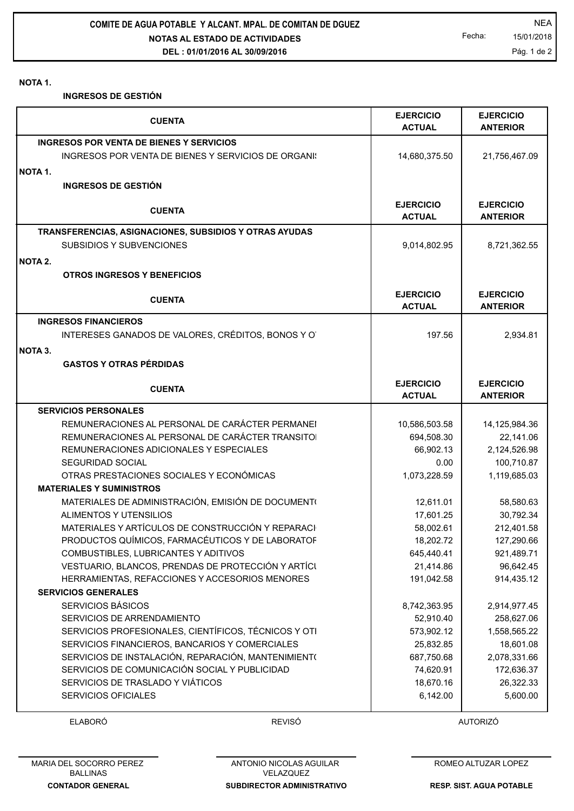**NOTAS AL ESTADO DE ACTIVIDADES DEL : 01/01/2016 AL 30/09/2016 COMITE DE AGUA POTABLE Y ALCANT. MPAL. DE COMITAN DE DGUEZ NEA** 

Fecha: 15/01/2018 Pág. 1 de 2

## **NOTA 1.**

**INGRESOS DE GESTIÓN**

|         | <b>CUENTA</b>                                          | <b>EJERCICIO</b><br><b>ACTUAL</b> | <b>EJERCICIO</b><br><b>ANTERIOR</b> |
|---------|--------------------------------------------------------|-----------------------------------|-------------------------------------|
|         | INGRESOS POR VENTA DE BIENES Y SERVICIOS               |                                   |                                     |
|         | INGRESOS POR VENTA DE BIENES Y SERVICIOS DE ORGANI:    | 14,680,375.50                     | 21,756,467.09                       |
| NOTA 1. |                                                        |                                   |                                     |
|         | <b>INGRESOS DE GESTIÓN</b>                             |                                   |                                     |
|         |                                                        |                                   |                                     |
|         | <b>CUENTA</b>                                          | <b>EJERCICIO</b><br><b>ACTUAL</b> | <b>EJERCICIO</b><br><b>ANTERIOR</b> |
|         | TRANSFERENCIAS, ASIGNACIONES, SUBSIDIOS Y OTRAS AYUDAS |                                   |                                     |
|         | SUBSIDIOS Y SUBVENCIONES                               | 9,014,802.95                      | 8,721,362.55                        |
| NOTA 2. |                                                        |                                   |                                     |
|         | <b>OTROS INGRESOS Y BENEFICIOS</b>                     |                                   |                                     |
|         |                                                        |                                   |                                     |
|         | <b>CUENTA</b>                                          | <b>EJERCICIO</b><br><b>ACTUAL</b> | <b>EJERCICIO</b>                    |
|         |                                                        |                                   | <b>ANTERIOR</b>                     |
|         | <b>INGRESOS FINANCIEROS</b>                            |                                   |                                     |
|         | INTERESES GANADOS DE VALORES, CRÉDITOS, BONOS Y O      | 197.56                            | 2,934.81                            |
| NOTA 3. |                                                        |                                   |                                     |
|         | <b>GASTOS Y OTRAS PÉRDIDAS</b>                         |                                   |                                     |
|         |                                                        | <b>EJERCICIO</b>                  | <b>EJERCICIO</b>                    |
|         | <b>CUENTA</b>                                          | <b>ACTUAL</b>                     | <b>ANTERIOR</b>                     |
|         | <b>SERVICIOS PERSONALES</b>                            |                                   |                                     |
|         | REMUNERACIONES AL PERSONAL DE CARÁCTER PERMANEI        | 10,586,503.58                     | 14,125,984.36                       |
|         | REMUNERACIONES AL PERSONAL DE CARÁCTER TRANSITO        | 694,508.30                        | 22,141.06                           |
|         | REMUNERACIONES ADICIONALES Y ESPECIALES                | 66,902.13                         | 2,124,526.98                        |
|         | <b>SEGURIDAD SOCIAL</b>                                | 0.00                              | 100,710.87                          |
|         | OTRAS PRESTACIONES SOCIALES Y ECONÓMICAS               | 1,073,228.59                      | 1,119,685.03                        |
|         | <b>MATERIALES Y SUMINISTROS</b>                        |                                   |                                     |
|         | MATERIALES DE ADMINISTRACIÓN, EMISIÓN DE DOCUMENTO     | 12,611.01                         | 58,580.63                           |
|         | ALIMENTOS Y UTENSILIOS                                 | 17,601.25                         | 30,792.34                           |
|         | MATERIALES Y ARTÍCULOS DE CONSTRUCCIÓN Y REPARACI      | 58,002.61                         | 212,401.58                          |
|         | PRODUCTOS QUÍMICOS, FARMACÉUTICOS Y DE LABORATOF       | 18,202.72                         | 127,290.66                          |
|         | COMBUSTIBLES, LUBRICANTES Y ADITIVOS                   | 645,440.41                        | 921,489.71                          |
|         | VESTUARIO, BLANCOS, PRENDAS DE PROTECCIÓN Y ARTÍCI     | 21,414.86                         | 96,642.45                           |
|         | HERRAMIENTAS, REFACCIONES Y ACCESORIOS MENORES         | 191,042.58                        | 914,435.12                          |
|         | <b>SERVICIOS GENERALES</b>                             |                                   |                                     |
|         | SERVICIOS BÁSICOS                                      | 8,742,363.95                      | 2,914,977.45                        |
|         | SERVICIOS DE ARRENDAMIENTO                             | 52,910.40                         | 258,627.06                          |
|         | SERVICIOS PROFESIONALES, CIENTÍFICOS, TÉCNICOS Y OTI   | 573,902.12                        | 1,558,565.22                        |
|         | SERVICIOS FINANCIEROS, BANCARIOS Y COMERCIALES         | 25,832.85                         | 18,601.08                           |
|         | SERVICIOS DE INSTALACIÓN, REPARACIÓN, MANTENIMIENTO    | 687,750.68                        | 2,078,331.66                        |
|         | SERVICIOS DE COMUNICACIÓN SOCIAL Y PUBLICIDAD          | 74,620.91                         | 172,636.37                          |
|         | SERVICIOS DE TRASLADO Y VIÁTICOS                       | 18,670.16                         | 26,322.33                           |
|         | <b>SERVICIOS OFICIALES</b>                             | 6,142.00                          | 5,600.00                            |

ELABORÓ REVISÓ AUTORIZÓ

**SUBDIRECTOR ADMINISTRATIVO** ANTONIO NICOLAS AGUILAR VELAZQUEZ

ROMEO ALTUZAR LOPEZ